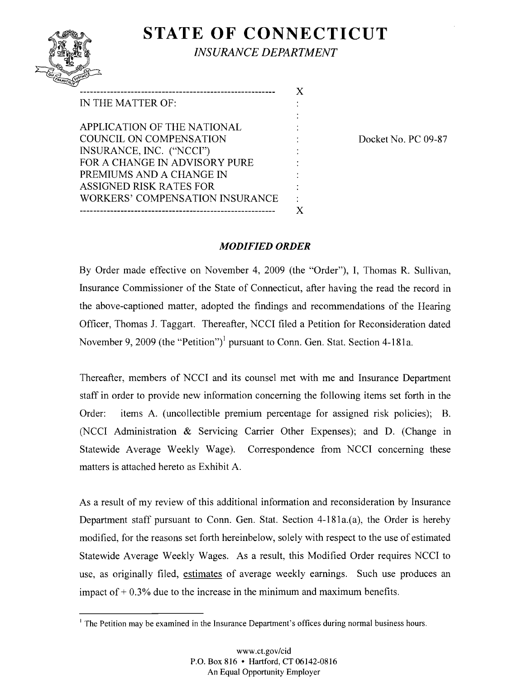# **STATE OF CONNECTICUT**

x

*INSURANCE DEPARTMENT* 

| $Q_{UII}$<br><b>SUSTINET</b><br>TPANSTULIT |
|--------------------------------------------|
|                                            |

| IN THE MATTER OF:                      |  |
|----------------------------------------|--|
|                                        |  |
| APPLICATION OF THE NATIONAL            |  |
| <b>COUNCIL ON COMPENSATION</b>         |  |
| INSURANCE, INC. ("NCCI")               |  |
| FOR A CHANGE IN ADVISORY PURE          |  |
| PREMIUMS AND A CHANGE IN               |  |
| <b>ASSIGNED RISK RATES FOR</b>         |  |
| <b>WORKERS' COMPENSATION INSURANCE</b> |  |
|                                        |  |
|                                        |  |

Docket No. PC 09-87

#### *MODIFIED ORDER*

By Order made effective on November 4, 2009 (the "Order"), I, Thomas R. Sullivan, Insurance Commissioner of the State of Connecticut, after having the read the record in the above-captioned matter, adopted the findings and recommendations of the Hearing Officer, Thomas J. Taggart. Thereafter, NCCI filed a Petition for Reconsideration dated November 9, 2009 (the "Petition")<sup>1</sup> pursuant to Conn. Gen. Stat. Section 4-181a.

Thereafter, members of NCCI and its counsel met with me and Insurance Department staff in order to provide new information concerning the following items set forth in the Order: items A. (uncollectible premium percentage for assigned risk policies); B. (NCCI Administration  $\&$  Servicing Carrier Other Expenses); and D. (Change in Statewide Average Weekly Wage). Correspondence from NCCI concerning these matters is attached hereto as Exhibit A.

As a result of my review of this additional information and reconsideration by Insurance Department staff pursuant to Conn. Gen. Stat. Section 4-181a.(a), the Order is hereby modified, for the reasons set forth hereinbelow, solely with respect to the use of estimated Statewide Average Weekly Wages. As a result, this Modified Order requires NCCI to use, as originally filed, estimates of average weekly earnings. Such use produces an impact of  $+0.3\%$  due to the increase in the minimum and maximum benefits.

<sup>&</sup>lt;sup>1</sup> The Petition may be examined in the Insurance Department's offices during normal business hours.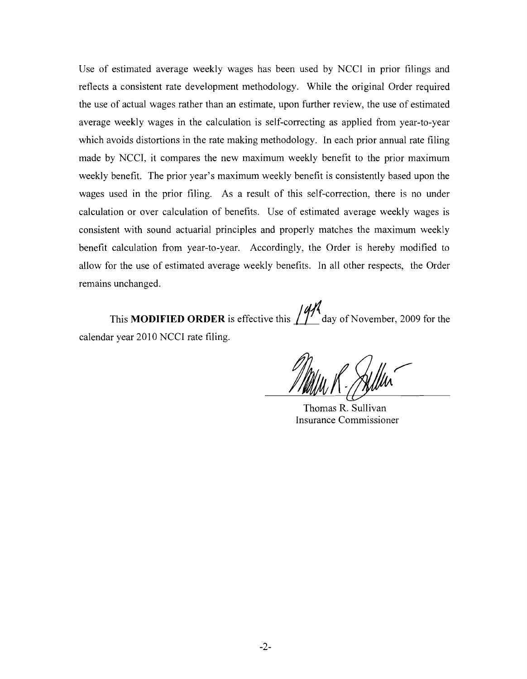Use of estimated average weekly wages has been used by NCCI in prior filings and reflects a consistent rate development methodology. While the original Order required the use of actual wages rather than an estimate, upon further review, the use of estimated average weekly wages in the calculation is self-correcting as applied from year-to-year which avoids distortions in the rate making methodology. In each prior annual rate filing made by NCCI, it compares the new maximum weekly benefit to the prior maximum weekly benefit. The prior year's maximum weekly benefit is consistently based upon the wages used in the prior filing. As a result of this self-correction, there is no under calculation or over calculation of benefits. Use of estimated average weekly wages is consistent with sound actuarial principles and properly matches the maximum weekly benefit calculation from year-to-year. Accordingly, the Order is hereby modified to allow for the use of estimated average weekly benefits. In all other respects, the Order remains unchanged.

This **MODIFIED ORDER** is effective this  $\iiint$  day of November, 2009 for the calendar year 2010 NCCI rate filing.

Thomas R. Sullivan Insurance Commissioner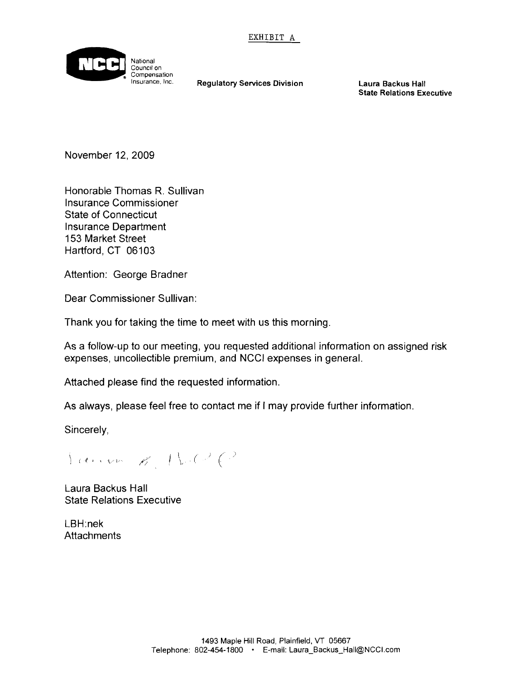

Regulatory Services Division Laura Backus Hall

State Relations Executive

November 12, 2009

Honorable Thomas R. Sullivan Insurance Commissioner State of Connecticut Insurance Department 153 Market Street Hartford, CT 06103

Attention: George Bradner

Dear Commissioner Sullivan:

Thank you for taking the time to meet with us this morning.

As a follow-up to our meeting, you requested additional information on assigned risk expenses, uncollectible premium, and NCCI expenses in general.

Attached please find the requested information.

As always, please feel free to contact me jf I may provide further information,

Sincerely,

 $\langle \; \cdots \; \cdots \; \; \kappa \; \; | \; \rangle \; \in \mathbb{R}^3$ 

Laura Backus Hall State Relations Executive

LBH:nek **Attachments**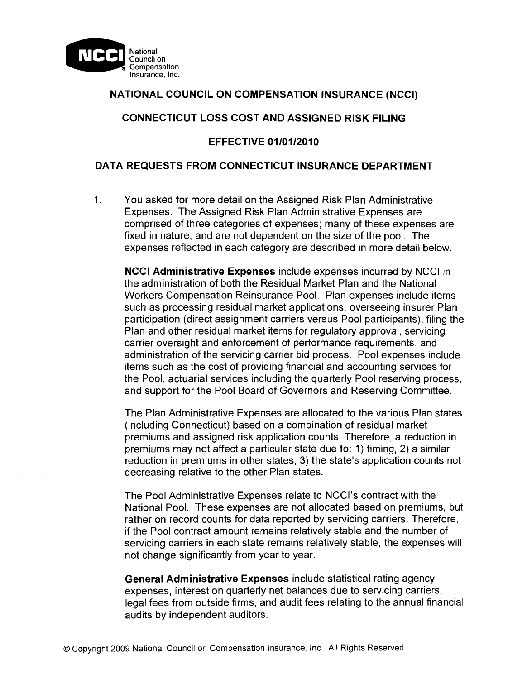

## **NATIONAL COUNCIL ON COMPENSATION INSURANCE (NCCI)**

## **CONNECTICUT LOSS COST AND ASSIGNED RISK FILING**

## **EFFECTIVE 01/01/2010**

## **DATA REQUESTS FROM CONNECTICUT INSURANCE DEPARTMENT**

1. You asked for more detail on the Assigned Risk Plan Administrative Expenses. The Assigned Risk Plan Administrative Expenses are comprised of three categories of expenses; many of these expenses are fixed in nature, and are not dependent on the size of the pool. The expenses reflected in each category are described in more detail below.

**NCCI Administrative Expenses** include expenses incurred by NCCI in the administration of both the Residual Market Plan and the National Workers Compensation Reinsurance Pool. Plan expenses include items such as processing residual market applications, overseeing insurer Plan participation (direct assignment carriers versus Pool participants), filing the Plan and other residual market items for regulatory approval, servicing carrier oversight and enforcement of performance requirements, and administration of the servicing carrier bid process. Pool expenses include items such as the cost of providing financial and accounting services for the Pool, actuarial services including the quarterly Pool reserving process, and support for the Pool Board of Governors and Reserving Committee.

The Plan Administrative Expenses are allocated to the various Plan states (including Connecticut) based on a combination of residual market premiums and assigned risk application counts. Therefore, a reduction in premiums may not affect a particular state due to: 1) timing, 2) a similar reduction in premiums in other states, 3) the state's application counts not decreasing relative to the other Plan states.

The Pool Administrative Expenses relate to NCCl's contract with the National Pool. These expenses are not allocated based on premiums, but rather on record counts for data reported by servicing carriers. Therefore, if the Pool contract amount remains relatively stable and the number of servicing carriers in each state remains relatively stable, the expenses will not change significantly from year to year.

**General Administrative Expenses** include statistical rating agency expenses, interest on quarterly net balances due to servicing carriers, legal fees from outside firms, and audit fees relating to the annual financial audits by independent auditors.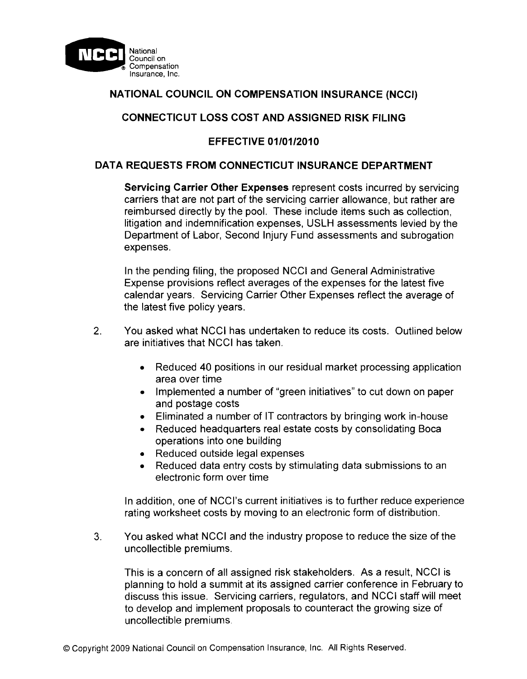

# **NATIONAL COUNCIL ON COMPENSATION INSURANCE (NCCI)**

## **CONNECTICUT LOSS COST AND ASSIGNED RISK FILING**

## **EFFECTIVE 01/01/2010**

#### **DATA REQUESTS FROM CONNECTICUT INSURANCE DEPARTMENT**

**Servicing Carrier Other Expenses** represent costs incurred by servicing carriers that are not part of the servicing carrier allowance, but rather are reimbursed directly by the pool. These include items such as collection, litigation and indemnification expenses, USLH assessments levied by the Department of Labor, Second Injury Fund assessments and subrogation expenses.

In the pending filing, the proposed NCCI and General Administrative Expense provisions reflect averages of the expenses for the latest five calendar years. Servicing Carrier Other Expenses reflect the average of the latest five policy years.

- 2. You asked what NCCI has undertaken to reduce its costs. Outlined below are initiatives that NCCI has taken.
	- Reduced 40 positions in our residual market processing application area over time
	- Implemented a number of "green initiatives" to cut down on paper and postage costs
	- Eliminated a number of IT contractors by bringing work in-house
	- Reduced headquarters real estate costs by consolidating Boca operations into one building
	- Reduced outside legal expenses
	- Reduced data entry costs by stimulating data submissions to an electronic form over time

In addition, one of NCCI's current initiatives is to further reduce experience rating worksheet costs by moving to an electronic form of distribution.

3. You asked what NCCI and the industry propose to reduce the size of the uncollectible premiums.

This is a concern of all assigned risk stakeholders. As a result, NCCI is planning to hold a summit at its assigned carrier conference in February to discuss this issue. Servicing carriers, regulators, and NCCI staff will meet to develop and implement proposals to counteract the growing size of uncollectible premiums.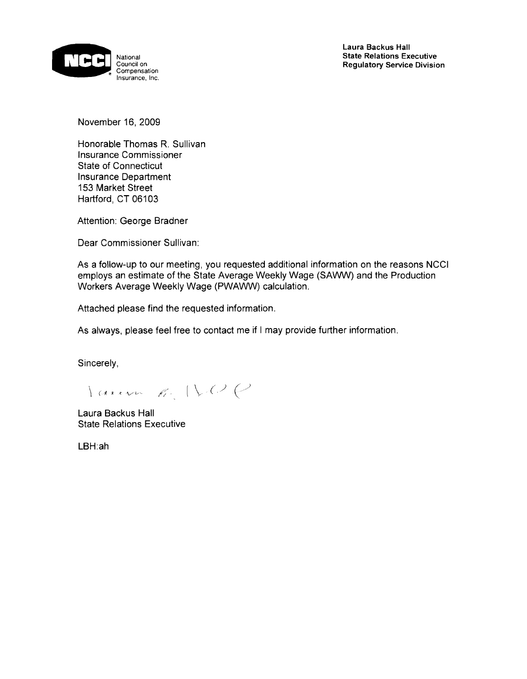

November 16, 2009

Honorable Thomas R. Sullivan Insurance Commissioner State of Connecticut Insurance Department 153 Market Street Hartford, CT 06103

Attention: George Bradner

Dear Commissioner Sullivan:

As a follow-up to our meeting, you requested additional information on the reasons NCCI employs an estimate of the State Average Weekly Wage (SAWW) and the Production Workers Average Weekly Wage (PWAWW) calculation,

Attached please find the requested information.

As always, please feel free to contact me if I may provide further information.

Sincerely,

Lauren R. IV.O.C

Laura Backus Hall State Relations Executive

LBH:ah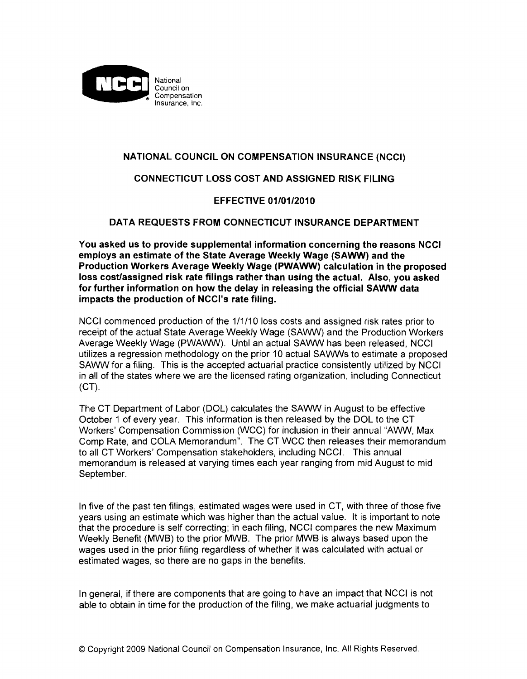

#### **NATIONAL COUNCIL ON COMPENSATION INSURANCE (NCCI)**

#### **CONNECTICUT LOSS COST AND ASSIGNED RISK FILING**

#### **EFFECTIVE 01/01/2010**

#### **DATA REQUESTS FROM CONNECTICUT INSURANCE DEPARTMENT**

**You asked us to provide supplemental information concerning the reasons NCCI employs an estimate of the State Average Weekly Wage (SAWW) and the Production Workers Average Weekly Wage (PWAWW) calculation in the proposed loss cost/assigned risk rate filings rather than using the actual. Also, you asked for further information on how the delay in releasing the official SAWW data impacts the production of NCCl's rate filing.** 

NCCI commenced production of the 1/1/10 loss costs and assigned risk rates prior to receipt of the actual State Average Weekly Wage (SAWW) and the Production Workers Average Weekly Wage (PWAWW). Until an actual SAWW has been released, NCCI utilizes a regression methodology on the prior 10 actual SAWWs to estimate a proposed SAWW for a filing. This is the accepted actuarial practice consistently utilized by NCCI in all of the states where we are the licensed rating organization, including Connecticut (CT).

The CT Department of Labor (DOL) calculates the SAWW in August to be effective October 1 of every year. This information is then released by the DOL to the CT Workers' Compensation Commission (WCC) for inclusion in their annual "AWW, Max Comp Rate, and COLA Memorandum". The CT WCC then releases their memorandum to all CT Workers' Compensation stakeholders, including NCC/. This annual memorandum is released at varying times each year ranging from mid August to mid September.

In five of the past ten filings, estimated wages were used in CT, with three of those five years using an estimate which was higher than the actual value. It is important to note that the procedure is self correcting; in each filing, NCCI compares the new Maximum Weekly Benefit (MWB) to the prior MWB. The prior MWB is always based upon the wages used in the prior filing regardless of whether it was calculated with actual or estimated wages, so there are no gaps in the benefits.

In general, if there are components that are going to have an impact that NCCI is not able to obtain in time for the production of the filing, we make actuarial judgments to